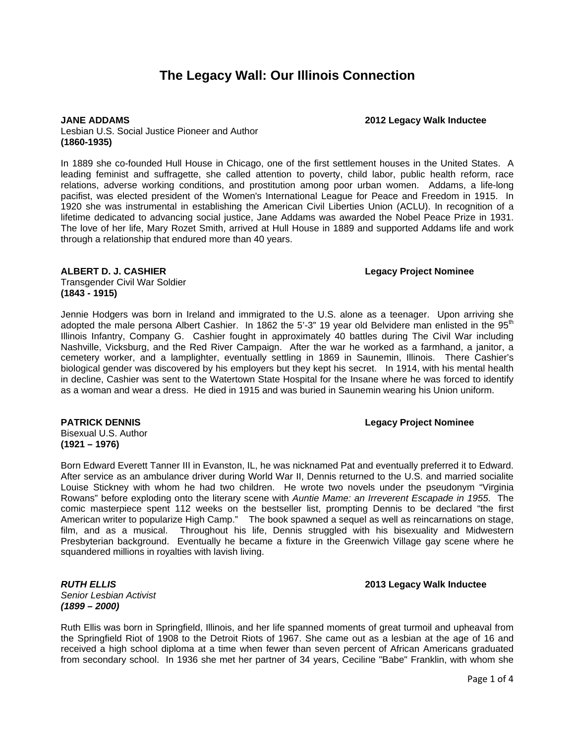# **The Legacy Wall: Our Illinois Connection**

**JANE ADDAMS 2012 Legacy Walk Inductee**

Lesbian U.S. Social Justice Pioneer and Author **(1860-1935)**

In 1889 she co-founded Hull House in Chicago, one of the first settlement houses in the United States. A leading feminist and suffragette, she called attention to poverty, child labor, public health reform, race relations, adverse working conditions, and prostitution among poor urban women. Addams, a life-long pacifist, was elected president of the Women's International League for Peace and Freedom in 1915. In 1920 she was instrumental in establishing the American Civil Liberties Union (ACLU). In recognition of a lifetime dedicated to advancing social justice, Jane Addams was awarded the Nobel Peace Prize in 1931. The love of her life, Mary Rozet Smith, arrived at Hull House in 1889 and supported Addams life and work through a relationship that endured more than 40 years.

### **ALBERT D. J. CASHIER Legacy Project Nominee**

Transgender Civil War Soldier **(1843 - 1915)**

Jennie Hodgers was born in Ireland and immigrated to the U.S. alone as a teenager. Upon arriving she adopted the male persona Albert Cashier. In 1862 the 5'-3" 19 year old Belvidere man enlisted in the 95<sup>th</sup> Illinois Infantry, Company G. Cashier fought in approximately 40 battles during The Civil War including Nashville, Vicksburg, and the Red River Campaign. After the war he worked as a farmhand, a janitor, a cemetery worker, and a lamplighter, eventually settling in 1869 in Saunemin, Illinois. There Cashier's biological gender was discovered by his employers but they kept his secret. In 1914, with his mental health in decline, Cashier was sent to the Watertown State Hospital for the Insane where he was forced to identify as a woman and wear a dress. He died in 1915 and was buried in Saunemin wearing his Union uniform.

### **PATRICK DENNIS Legacy Project Nominee**

Bisexual U.S. Author **(1921 – 1976)**

Born Edward Everett Tanner III in Evanston, IL, he was nicknamed Pat and eventually preferred it to Edward. After service as an ambulance driver during World War II, Dennis returned to the U.S. and married socialite Louise Stickney with whom he had two children. He wrote two novels under the pseudonym "Virginia Rowans" before exploding onto the literary scene with *Auntie Mame: an Irreverent Escapade in 1955.* The comic masterpiece spent 112 weeks on the bestseller list, prompting Dennis to be declared "the first American writer to popularize High Camp." The book spawned a sequel as well as reincarnations on stage, film, and as a musical. Throughout his life, Dennis struggled with his bisexuality and Midwestern Presbyterian background. Eventually he became a fixture in the Greenwich Village gay scene where he squandered millions in royalties with lavish living.

*Senior Lesbian Activist (1899 – 2000)*

### *RUTH ELLIS* **2013 Legacy Walk Inductee**

Ruth Ellis was born in Springfield, Illinois, and her life spanned moments of great turmoil and upheaval from the Springfield Riot of 1908 to the Detroit Riots of 1967. She came out as a lesbian at the age of 16 and received a high school diploma at a time when fewer than seven percent of African Americans graduated from secondary school. In 1936 she met her partner of 34 years, Ceciline "Babe" Franklin, with whom she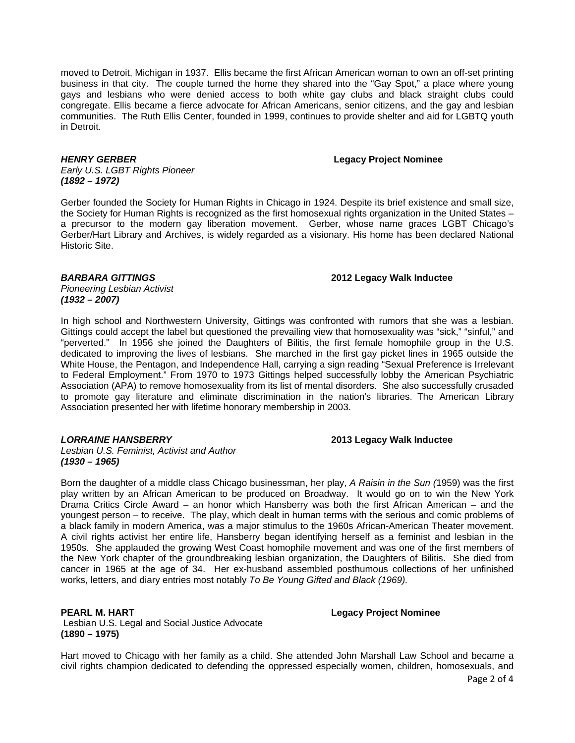moved to Detroit, Michigan in 1937. Ellis became the first African American woman to own an off-set printing business in that city. The couple turned the home they shared into the "Gay Spot," a place where young gays and lesbians who were denied access to both white gay clubs and black straight clubs could congregate. Ellis became a fierce advocate for African Americans, senior citizens, and the gay and lesbian communities. The Ruth Ellis Center, founded in 1999, continues to provide shelter and aid for LGBTQ youth in Detroit.

### *HENRY GERBER* **Legacy Project Nominee**

*Early U.S. LGBT Rights Pioneer (1892 – 1972)*

Gerber founded the Society for Human Rights in Chicago in 1924. Despite its brief existence and small size, the Society for Human Rights is recognized as the first homosexual rights organization in the United States – a precursor to the modern gay liberation movement. Gerber, whose name graces LGBT Chicago's Gerber/Hart Library and Archives, is widely regarded as a visionary. His home has been declared National Historic Site.

*BARBARA GITTINGS* **2012 Legacy Walk Inductee**

*Pioneering Lesbian Activist (1932 – 2007)*

In high school and Northwestern University, Gittings was confronted with rumors that she was a lesbian. Gittings could accept the label but questioned the prevailing view that homosexuality was "sick," "sinful," and "perverted." In 1956 she joined the Daughters of Bilitis, the first female homophile group in the U.S. dedicated to improving the lives of lesbians. She marched in the first gay picket lines in 1965 outside the White House, the Pentagon, and Independence Hall, carrying a sign reading "Sexual Preference is Irrelevant to Federal Employment." From 1970 to 1973 Gittings helped successfully lobby the American Psychiatric Association (APA) to remove homosexuality from its list of mental disorders. She also successfully crusaded to promote gay literature and eliminate discrimination in the nation's libraries. The American Library Association presented her with lifetime honorary membership in 2003.

*LORRAINE HANSBERRY* **2013 Legacy Walk Inductee**

*Lesbian U.S. Feminist, Activist and Author (1930 – 1965)*

Born the daughter of a middle class Chicago businessman, her play, *A Raisin in the Sun (*1959) was the first play written by an African American to be produced on Broadway. It would go on to win the New York Drama Critics Circle Award – an honor which Hansberry was both the first African American – and the youngest person – to receive. The play, which dealt in human terms with the serious and comic problems of a black family in modern America, was a major stimulus to the 1960s African-American Theater movement. A civil rights activist her entire life, Hansberry began identifying herself as a feminist and lesbian in the 1950s. She applauded the growing West Coast homophile movement and was one of the first members of the New York chapter of the groundbreaking lesbian organization, the Daughters of Bilitis. She died from cancer in 1965 at the age of 34. Her ex-husband assembled posthumous collections of her unfinished works, letters, and diary entries most notably *To Be Young Gifted and Black (1969).* 

Lesbian U.S. Legal and Social Justice Advocate **(1890 – 1975)**

**PEARL M. HART Legacy Project Nominee**

Hart moved to Chicago with her family as a child. She attended John Marshall Law School and became a civil rights champion dedicated to defending the oppressed especially women, children, homosexuals, and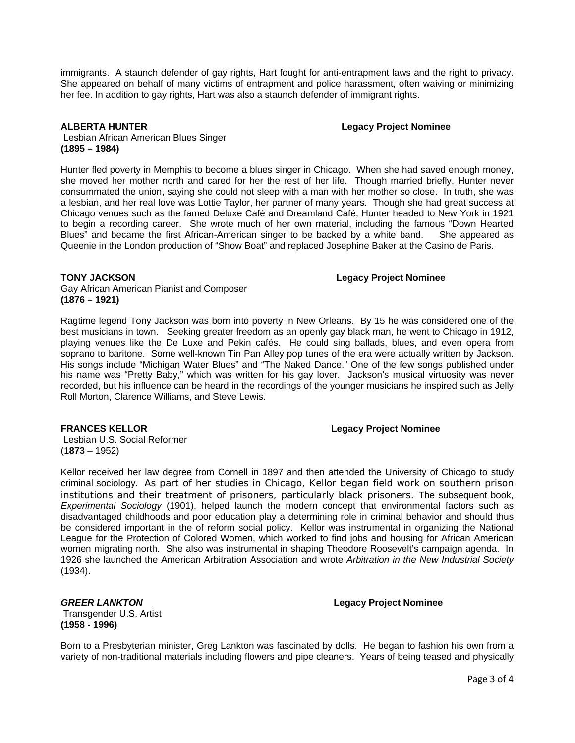immigrants. A staunch defender of gay rights, Hart fought for anti-entrapment laws and the right to privacy. She appeared on behalf of many victims of entrapment and police harassment, often waiving or minimizing her fee. In addition to gay rights, Hart was also a staunch defender of immigrant rights.

**ALBERTA HUNTER Legacy Project Nominee**

Lesbian African American Blues Singer **(1895 – 1984)**

Hunter fled poverty in Memphis to become a blues singer in Chicago. When she had saved enough money, she moved her mother north and cared for her the rest of her life. Though married briefly, Hunter never consummated the union, saying she could not sleep with a man with her mother so close. In truth, she was a lesbian, and her real love was Lottie Taylor, her partner of many years. Though she had great success at Chicago venues such as the famed Deluxe Café and Dreamland Café, Hunter headed to New York in 1921 to begin a recording career. She wrote much of her own material, including the famous "Down Hearted Blues" and became the first African-American singer to be backed by a white band. She appeared as Queenie in the London production of "Show Boat" and replaced Josephine Baker at the Casino de Paris.

### **TONY JACKSON Legacy Project Nominee**

Gay African American Pianist and Composer **(1876 – 1921)**

Ragtime legend Tony Jackson was born into poverty in New Orleans. By 15 he was considered one of the best musicians in town. Seeking greater freedom as an openly gay black man, he went to Chicago in 1912, playing venues like the De Luxe and Pekin cafés. He could sing ballads, blues, and even opera from soprano to baritone. Some well-known Tin Pan Alley pop tunes of the era were actually written by Jackson. His songs include "Michigan Water Blues" and "The Naked Dance." One of the few songs published under his name was "Pretty Baby," which was written for his gay lover. Jackson's musical virtuosity was never recorded, but his influence can be heard in the recordings of the younger musicians he inspired such as Jelly Roll Morton, Clarence Williams, and Steve Lewis.

### **FRANCES KELLOR Legacy Project Nominee**

Lesbian U.S. Social Reformer (1**873** – 1952)

Kellor received her law degree from Cornell in 1897 and then attended the University of Chicago to study criminal sociology. As part of her studies in Chicago, Kellor began field work on southern prison institutions and their treatment of prisoners, particularly black prisoners. The subsequent book, *Experimental Sociology* (1901), helped launch the modern concept that environmental factors such as disadvantaged childhoods and poor education play a determining role in criminal behavior and should thus be considered important in the of reform social policy. Kellor was instrumental in organizing the National League for the Protection of Colored Women, which worked to find jobs and housing for African American women migrating north. She also was instrumental in shaping Theodore Roosevelt's campaign agenda. In 1926 she launched the American Arbitration Association and wrote *Arbitration in the New Industrial Society* (1934).

Transgender U.S. Artist **(1958 - 1996)**

# *GREER LANKTON* **Legacy Project Nominee**

Born to a Presbyterian minister, Greg Lankton was fascinated by dolls. He began to fashion his own from a variety of non-traditional materials including flowers and pipe cleaners. Years of being teased and physically